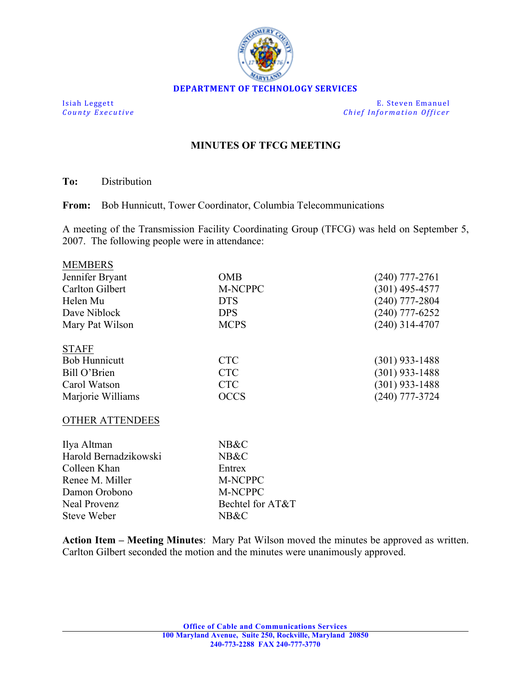

**Isiah Leggett E.** Steven Emanuel **County Executive** *County Executive Chief Information Officer* 

## **MINUTES OF TFCG MEETING**

**To:** Distribution

MEMBERS

**From:** Bob Hunnicutt, Tower Coordinator, Columbia Telecommunications

A meeting of the Transmission Facility Coordinating Group (TFCG) was held on September 5, 2007. The following people were in attendance:

| <b>MEMBERS</b>       |             |                  |
|----------------------|-------------|------------------|
| Jennifer Bryant      | <b>OMB</b>  | $(240)$ 777-2761 |
| Carlton Gilbert      | M-NCPPC     | $(301)$ 495-4577 |
| Helen Mu             | <b>DTS</b>  | $(240)$ 777-2804 |
| Dave Niblock         | <b>DPS</b>  | (240) 777-6252   |
| Mary Pat Wilson      | <b>MCPS</b> | $(240)$ 314-4707 |
| <b>STAFF</b>         |             |                  |
| <b>Bob Hunnicutt</b> | <b>CTC</b>  | $(301)$ 933-1488 |
| Bill O'Brien         | <b>CTC</b>  | $(301)$ 933-1488 |
| Carol Watson         | <b>CTC</b>  | $(301)$ 933-1488 |
| Marjorie Williams    | <b>OCCS</b> | $(240)$ 777-3724 |
|                      |             |                  |

## OTHER ATTENDEES

| NB&C             |
|------------------|
| NB&C             |
| Entrex           |
| M-NCPPC          |
| M-NCPPC          |
| Bechtel for AT&T |
| NB&C             |
|                  |

**Action Item – Meeting Minutes**: Mary Pat Wilson moved the minutes be approved as written. Carlton Gilbert seconded the motion and the minutes were unanimously approved.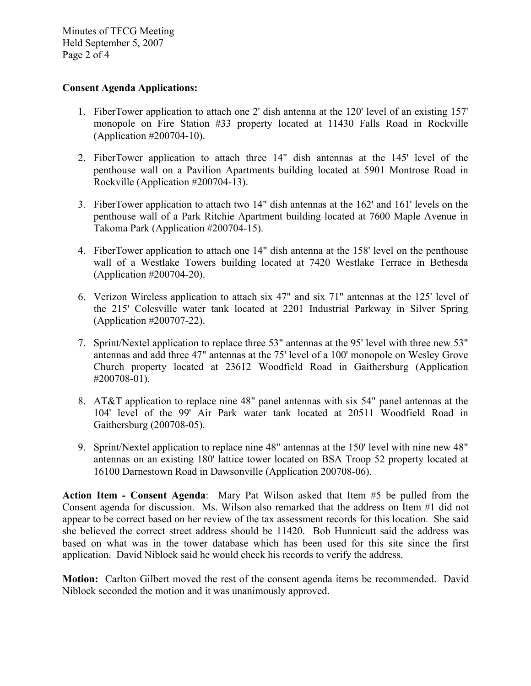Minutes of TFCG Meeting Held September 5, 2007 Page 2 of 4

## **Consent Agenda Applications:**

- 1. FiberTower application to attach one 2' dish antenna at the 120' level of an existing 157' monopole on Fire Station #33 property located at 11430 Falls Road in Rockville (Application #200704-10).
- 2. FiberTower application to attach three 14" dish antennas at the 145' level of the penthouse wall on a Pavilion Apartments building located at 5901 Montrose Road in Rockville (Application #200704-13).
- 3. FiberTower application to attach two 14" dish antennas at the 162' and 161' levels on the penthouse wall of a Park Ritchie Apartment building located at 7600 Maple Avenue in Takoma Park (Application #200704-15).
- 4. FiberTower application to attach one 14" dish antenna at the 158' level on the penthouse wall of a Westlake Towers building located at 7420 Westlake Terrace in Bethesda (Application #200704-20).
- 6. Verizon Wireless application to attach six 47" and six 71" antennas at the 125' level of the 215' Colesville water tank located at 2201 Industrial Parkway in Silver Spring (Application #200707-22).
- 7. Sprint/Nextel application to replace three 53" antennas at the 95' level with three new 53" antennas and add three 47" antennas at the 75' level of a 100' monopole on Wesley Grove Church property located at 23612 Woodfield Road in Gaithersburg (Application #200708-01).
- 8. AT&T application to replace nine 48" panel antennas with six 54" panel antennas at the 104' level of the 99' Air Park water tank located at 20511 Woodfield Road in Gaithersburg (200708-05).
- 9. Sprint/Nextel application to replace nine 48" antennas at the 150' level with nine new 48" antennas on an existing 180' lattice tower located on BSA Troop 52 property located at 16100 Darnestown Road in Dawsonville (Application 200708-06).

**Action Item - Consent Agenda**: Mary Pat Wilson asked that Item #5 be pulled from the Consent agenda for discussion. Ms. Wilson also remarked that the address on Item #1 did not appear to be correct based on her review of the tax assessment records for this location. She said she believed the correct street address should be 11420. Bob Hunnicutt said the address was based on what was in the tower database which has been used for this site since the first application. David Niblock said he would check his records to verify the address.

**Motion:** Carlton Gilbert moved the rest of the consent agenda items be recommended. David Niblock seconded the motion and it was unanimously approved.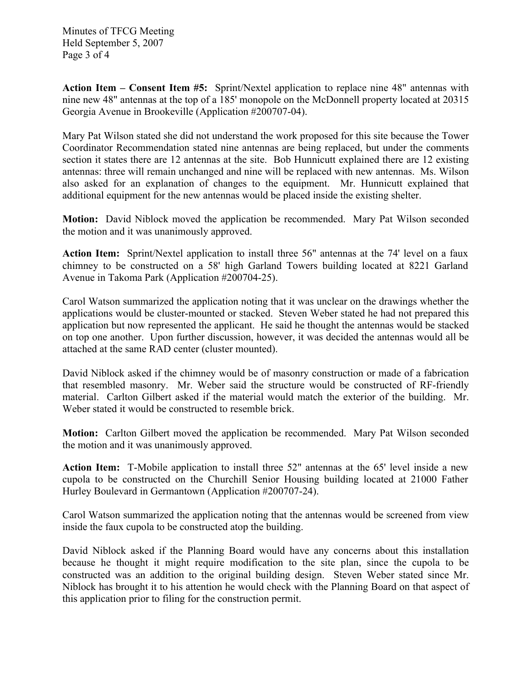Minutes of TFCG Meeting Held September 5, 2007 Page 3 of 4

**Action Item – Consent Item #5:** Sprint/Nextel application to replace nine 48" antennas with nine new 48" antennas at the top of a 185' monopole on the McDonnell property located at 20315 Georgia Avenue in Brookeville (Application #200707-04).

Mary Pat Wilson stated she did not understand the work proposed for this site because the Tower Coordinator Recommendation stated nine antennas are being replaced, but under the comments section it states there are 12 antennas at the site. Bob Hunnicutt explained there are 12 existing antennas: three will remain unchanged and nine will be replaced with new antennas. Ms. Wilson also asked for an explanation of changes to the equipment. Mr. Hunnicutt explained that additional equipment for the new antennas would be placed inside the existing shelter.

**Motion:** David Niblock moved the application be recommended. Mary Pat Wilson seconded the motion and it was unanimously approved.

**Action Item:** Sprint/Nextel application to install three 56" antennas at the 74' level on a faux chimney to be constructed on a 58' high Garland Towers building located at 8221 Garland Avenue in Takoma Park (Application #200704-25).

Carol Watson summarized the application noting that it was unclear on the drawings whether the applications would be cluster-mounted or stacked. Steven Weber stated he had not prepared this application but now represented the applicant. He said he thought the antennas would be stacked on top one another. Upon further discussion, however, it was decided the antennas would all be attached at the same RAD center (cluster mounted).

David Niblock asked if the chimney would be of masonry construction or made of a fabrication that resembled masonry. Mr. Weber said the structure would be constructed of RF-friendly material. Carlton Gilbert asked if the material would match the exterior of the building. Mr. Weber stated it would be constructed to resemble brick.

**Motion:** Carlton Gilbert moved the application be recommended. Mary Pat Wilson seconded the motion and it was unanimously approved.

**Action Item:** T-Mobile application to install three 52" antennas at the 65' level inside a new cupola to be constructed on the Churchill Senior Housing building located at 21000 Father Hurley Boulevard in Germantown (Application #200707-24).

Carol Watson summarized the application noting that the antennas would be screened from view inside the faux cupola to be constructed atop the building.

David Niblock asked if the Planning Board would have any concerns about this installation because he thought it might require modification to the site plan, since the cupola to be constructed was an addition to the original building design. Steven Weber stated since Mr. Niblock has brought it to his attention he would check with the Planning Board on that aspect of this application prior to filing for the construction permit.